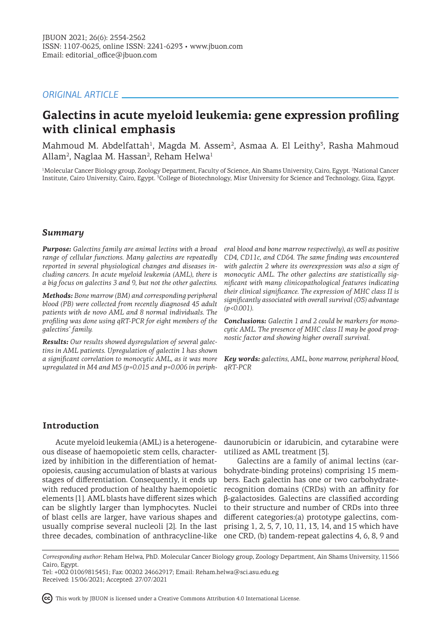# *ORIGINAL ARTICLE*

# **Galectins in acute myeloid leukemia: gene expression profiling with clinical emphasis**

Mahmoud M. Abdelfattah<sup>1</sup>, Magda M. Assem<sup>2</sup>, Asmaa A. El Leithy<sup>3</sup>, Rasha Mahmoud Allam<sup>2</sup>, Naglaa M. Hassan<sup>2</sup>, Reham Helwa<sup>1</sup>

<sup>1</sup>Molecular Cancer Biology group, Zoology Department, Faculty of Science, Ain Shams University, Cairo, Egypt. <sup>2</sup>National Cancer Institute, Cairo University, Cairo, Egypt. <sup>3</sup>College of Biotechnology, Misr University for Science and Technology, Giza, Egypt.

# *Summary*

*Purpose: Galectins family are animal lectins with a broad range of cellular functions. Many galectins are repeatedly reported in several physiological changes and diseases including cancers. In acute myeloid leukemia (AML), there is a big focus on galectins 3 and 9, but not the other galectins.* 

*Methods: Bone marrow (BM) and corresponding peripheral blood (PB) were collected from recently diagnosed 45 adult patients with de novo AML and 8 normal individuals. The profiling was done using qRT-PCR for eight members of the galectins' family.* 

*Results: Our results showed dysregulation of several galectins in AML patients. Upregulation of galectin 1 has shown a significant correlation to monocytic AML, as it was more upregulated in M4 and M5 (p=0.015 and p=0.006 in periph-*

*eral blood and bone marrow respectively), as well as positive CD4, CD11c, and CD64. The same finding was encountered with galectin 2 where its overexpression was also a sign of monocytic AML. The other galectins are statistically significant with many clinicopathological features indicating their clinical significance. The expression of MHC class II is significantly associated with overall survival (OS) advantage (p<0.001).*

*Conclusions: Galectin 1 and 2 could be markers for monocytic AML. The presence of MHC class II may be good prognostic factor and showing higher overall survival.*

*Key words: galectins, AML, bone marrow, peripheral blood, qRT-PCR*

# **Introduction**

ous disease of haemopoietic stem cells, characterized by inhibition in the differentiation of hematopoiesis, causing accumulation of blasts at various stages of differentiation. Consequently, it ends up with reduced production of healthy haemopoietic elements [1]. AML blasts have different sizes which can be slightly larger than lymphocytes. Nuclei of blast cells are larger, have various shapes and usually comprise several nucleoli [2]. In the last three decades, combination of anthracycline-like

Acute myeloid leukemia (AML) is a heterogene-daunorubicin or idarubicin, and cytarabine were utilized as AML treatment [3].

> Galectins are a family of animal lectins (carbohydrate-binding proteins) comprising 15 members. Each galectin has one or two carbohydraterecognition domains (CRDs) with an affinity for β-galactosides. Galectins are classified according to their structure and number of CRDs into three different categories:(a) prototype galectins, comprising 1, 2, 5, 7, 10, 11, 13, 14, and 15 which have one CRD, (b) tandem-repeat galectins 4, 6, 8, 9 and

This work by JBUON is licensed under a Creative Commons Attribution 4.0 International License.

*Corresponding author:* Reham Helwa, PhD. Molecular Cancer Biology group, Zoology Department, Ain Shams University, 11566 Cairo, Egypt.

Tel: +002 01069815451; Fax: 00202 24662917; Email: Reham.helwa@sci.asu.edu.eg Received: 15/06/2021; Accepted: 27/07/2021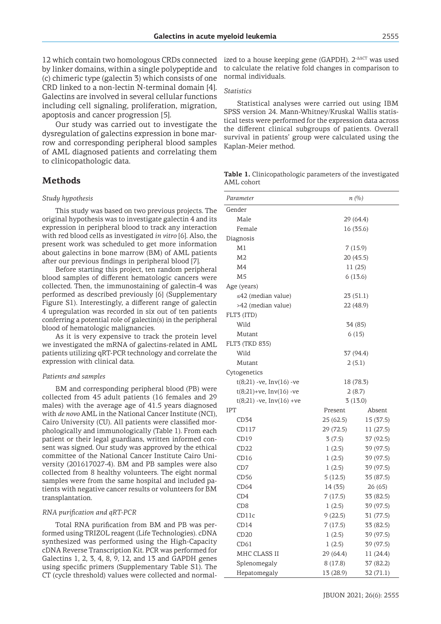12 which contain two homologous CRDs connected by linker domains, within a single polypeptide and (c) chimeric type (galectin 3) which consists of one CRD linked to a non-lectin N-terminal domain [4]. Galectins are involved in several cellular functions including cell signaling, proliferation, migration, apoptosis and cancer progression [5].

Our study was carried out to investigate the dysregulation of galectins expression in bone marrow and corresponding peripheral blood samples of AML diagnosed patients and correlating them to clinicopathologic data.

### **Methods**

### *Study hypothesis*

This study was based on two previous projects. The original hypothesis was to investigate galectin 4 and its expression in peripheral blood to track any interaction with red blood cells as investigated *in vitro* [6]. Also, the present work was scheduled to get more information about galectins in bone marrow (BM) of AML patients after our previous findings in peripheral blood [7].

Before starting this project, ten random peripheral blood samples of different hematologic cancers were collected. Then, the immunostaining of galectin-4 was performed as described previously [6] (Supplementary Figure S1). Interestingly, a different range of galectin 4 upregulation was recorded in six out of ten patients conferring a potential role of galectin(s) in the peripheral blood of hematologic malignancies.

As it is very expensive to track the protein level we investigated the mRNA of galectins-related in AML patients utilizing qRT-PCR technology and correlate the expression with clinical data.

### *Patients and samples*

BM and corresponding peripheral blood (PB) were collected from 45 adult patients (16 females and 29 males) with the average age of 41.5 years diagnosed with *de novo* AML in the National Cancer Institute (NCI), Cairo University (CU). All patients were classified morphologically and immunologically (Table 1). From each patient or their legal guardians, written informed consent was signed. Our study was approved by the ethical committee of the National Cancer Institute Cairo University (201617027-4). BM and PB samples were also collected from 8 healthy volunteers. The eight normal samples were from the same hospital and included patients with negative cancer results or volunteers for BM transplantation.

### *RNA purification and qRT-PCR*

Total RNA purification from BM and PB was performed using TRIZOL reagent (Life Technologies). cDNA synthesized was performed using the High-Capacity cDNA Reverse Transcription Kit. PCR was performed for Galectins 1, 2, 3, 4, 8, 9, 12, and 13 and GAPDH genes using specific primers (Supplementary Table S1). The CT (cycle threshold) values were collected and normal-

ized to a house keeping gene (GAPDH). 2<sup>-ΔΔCT</sup> was used to calculate the relative fold changes in comparison to normal individuals.

### *Statistics*

Statistical analyses were carried out using IBM SPSS version 24. Mann-Whitney/Kruskal Wallis statistical tests were performed for the expression data across the different clinical subgroups of patients. Overall survival in patients' group were calculated using the Kaplan-Meier method.

| Table 1. Clinicopathologic parameters of the investigated |  |
|-----------------------------------------------------------|--|
| AML cohort                                                |  |

| Parameter                     | n (%)     |           |
|-------------------------------|-----------|-----------|
| Gender                        |           |           |
| Male                          | 29 (64.4) |           |
| Female                        | 16 (35.6) |           |
| Diagnosis                     |           |           |
| M1                            | 7(15.9)   |           |
| M <sub>2</sub>                | 20 (45.5) |           |
| M4                            | 11 (25)   |           |
| M <sub>5</sub>                | 6(13.6)   |           |
| Age (years)                   |           |           |
| $\leq$ 42 (median value)      | 23 (51.1) |           |
| >42 (median value)            | 22 (48.9) |           |
| FLT3 (ITD)                    |           |           |
| Wild                          | 34 (85)   |           |
| Mutant                        | 6(15)     |           |
| FLT3 (TKD 835)                |           |           |
| Wild                          | 37 (94.4) |           |
| Mutant                        | 2(5.1)    |           |
| Cytogenetics                  |           |           |
| $t(8;21)$ -ve, Inv $(16)$ -ve | 18 (78.3) |           |
| $t(8;21)+ve$ , Inv(16) -ve    | 2(8.7)    |           |
| $t(8;21)$ -ve, Inv(16) +ve    | 3(13.0)   |           |
| <b>IPT</b>                    | Present   | Absent    |
| CD34                          | 25(62.5)  | 15 (37.5) |
| CD117                         | 29 (72.5) | 11 (27.5) |
| CD19                          | 3(7.5)    | 37 (92.5) |
| CD22                          | 1(2.5)    | 39 (97.5) |
| CD <sub>16</sub>              | 1(2.5)    | 39 (97.5) |
| CD7                           | 1(2.5)    | 39 (97.5) |
| CD56                          | 5(12.5)   | 35 (87.5) |
| CD64                          | 14 (35)   | 26 (65)   |
| CD4                           | 7(17.5)   | 33 (82.5) |
| C <sub>D</sub> 8              | 1(2.5)    | 39 (97.5) |
| CD11c                         | 9(22.5)   | 31 (77.5) |
| CD <sub>14</sub>              | 7 (17.5)  | 33 (82.5) |
| CD20                          | 1(2.5)    | 39 (97.5) |
| CD61                          | 1(2.5)    | 39 (97.5) |
| MHC CLASS II                  | 29 (64.4) | 11 (24.4) |
| Splenomegaly                  | 8(17.8)   | 37 (82.2) |
| Hepatomegaly                  | 13 (28.9) | 32 (71.1) |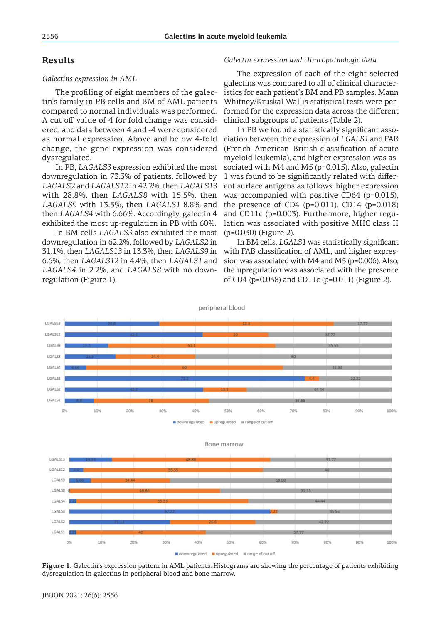# **Results**

#### *Galectins expression in AML*

The profiling of eight members of the galectin's family in PB cells and BM of AML patients compared to normal individuals was performed. A cut off value of 4 for fold change was considered, and data between 4 and -4 were considered as normal expression. Above and below 4-fold change, the gene expression was considered dysregulated.

In PB, *LAGALS3* expression exhibited the most downregulation in 73.3% of patients, followed by *LAGALS2* and *LAGALS12* in 42.2%, then *LAGALS13* with 28.8%, then *LAGALS8* with 15.5%, then *LAGALS9* with 13.3%, then *LAGALS1* 8.8% and then *LAGALS4* with 6.66%. Accordingly, galectin 4 exhibited the most up-regulation in PB with 60%.

In BM cells *LAGALS3* also exhibited the most downregulation in 62.2%, followed by *LAGALS2* in 31.1%, then *LAGALS13* in 13.3%, then *LAGALS9* in 6.6%, then *LAGALS12* in 4.4%, then *LAGALS1* and *LAGALS4* in 2.2%, and *LAGALS8* with no downregulation (Figure 1).

### *Galectin expression and clinicopathologic data*

The expression of each of the eight selected galectins was compared to all of clinical characteristics for each patient's BM and PB samples. Mann Whitney/Kruskal Wallis statistical tests were performed for the expression data across the different clinical subgroups of patients (Table 2).

In PB we found a statistically significant association between the expression of *LGALS1* and FAB (French–American–British classification of acute myeloid leukemia), and higher expression was associated with M4 and M5 (p=0.015). Also, galectin 1 was found to be significantly related with different surface antigens as follows: higher expression was accompanied with positive CD64 (p=0.015), the presence of CD4  $(p=0.011)$ , CD14  $(p=0.018)$ and CD11c (p=0.003). Furthermore, higher regulation was associated with positive MHC class II (p=0.030) (Figure 2).

In BM cells, *LGALS1* was statistically significant with FAB classification of AML, and higher expression was associated with M4 and M5 (p=0.006). Also, the upregulation was associated with the presence of CD4 (p=0.038) and CD11c (p=0.011) (Figure 2).





**Figure 1.** Galectin's expression pattern in AML patients. Histograms are showing the percentage of patients exhibiting dysregulation in galectins in peripheral blood and bone marrow.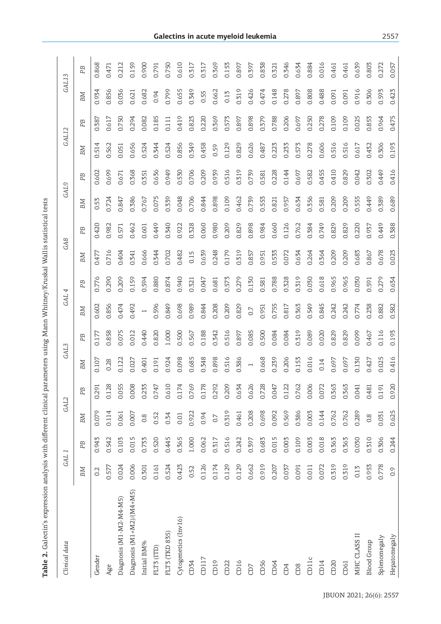| ļ                                                                                                                                                                                                                                                                                                                                                                                                                                                                                    |
|--------------------------------------------------------------------------------------------------------------------------------------------------------------------------------------------------------------------------------------------------------------------------------------------------------------------------------------------------------------------------------------------------------------------------------------------------------------------------------------|
| l<br>$\frac{1}{2}$                                                                                                                                                                                                                                                                                                                                                                                                                                                                   |
|                                                                                                                                                                                                                                                                                                                                                                                                                                                                                      |
|                                                                                                                                                                                                                                                                                                                                                                                                                                                                                      |
| ١                                                                                                                                                                                                                                                                                                                                                                                                                                                                                    |
|                                                                                                                                                                                                                                                                                                                                                                                                                                                                                      |
| <b>.<br/>.<br/>.</b>                                                                                                                                                                                                                                                                                                                                                                                                                                                                 |
|                                                                                                                                                                                                                                                                                                                                                                                                                                                                                      |
|                                                                                                                                                                                                                                                                                                                                                                                                                                                                                      |
| ٔ,                                                                                                                                                                                                                                                                                                                                                                                                                                                                                   |
| $\begin{array}{cccccccc}\n & \multicolumn{1}{c}\n & \multicolumn{1}{c}\n & \multicolumn{1}{c}\n & \multicolumn{1}{c}\n & \multicolumn{1}{c}\n & \multicolumn{1}{c}\n & \multicolumn{1}{c}\n & \multicolumn{1}{c}\n & \multicolumn{1}{c}\n & \multicolumn{1}{c}\n & \multicolumn{1}{c}\n & \multicolumn{1}{c}\n & \multicolumn{1}{c}\n & \multicolumn{1}{c}\n & \multicolumn{1}{c}\n & \multicolumn{1}{c}\n & \multicolumn{1}{c}\n & \multicolumn{1}{c}\n & \multicolumn{1}{c}\n & \$ |
| i<br>l                                                                                                                                                                                                                                                                                                                                                                                                                                                                               |
| ì                                                                                                                                                                                                                                                                                                                                                                                                                                                                                    |
| Table<br>$\vdots$<br>Ė<br>I                                                                                                                                                                                                                                                                                                                                                                                                                                                          |

| Clinical data             |       | GAL <sub>1</sub> | GAL2             |                 | GAL3           |       | GAL <sub>4</sub> |       | GA <sub>8</sub> |       | GAL9  |       | GAL12 |                | GAL13 |       |
|---------------------------|-------|------------------|------------------|-----------------|----------------|-------|------------------|-------|-----------------|-------|-------|-------|-------|----------------|-------|-------|
|                           | BM    | P <sub>B</sub>   | BM               | ΡB              | BМ             | PB    | BM               | PB    | BМ              | PB    | BM    | PB    | BМ    | P <sub>B</sub> | BM    | PB    |
| Gender                    | 0.2   | 0.943            | 0.079            | 0.291           | 0.107          | 0.177 | 0.602            | 0.776 | 0.477           | 0.420 | 0.53  | 0.602 | 0.514 | 0.387          | 0.934 | 0.868 |
| Age                       | 0.577 | 0.542            | 0.114            | 0.128           | 0.28           | 0.858 | 0.856            | 0.290 | 0.716           | 0.982 | 0.724 | 0.699 | 0.562 | 0.617          | 0.856 | 0.471 |
| Diagnosis (M1-M2-M4-M5)   | 0.024 | 0.103            | 0.061            | 0.055           | 0.122          | 0.075 | 0.474            | 0.209 | 0.404           | 0.571 | 0.847 | 0.671 | 0.051 | 0.750          | 0.036 | 0.212 |
| Diagnosis (M1+M2)/(M4+M5) | 0.006 | 0.015            | 0.007            | 0.008           | 0.027          | 0.012 | 0.492            | 0.159 | 0.341           | 0.462 | 0.386 | 0.368 | 0.656 | 0.294          | 0.621 | 0.159 |
| Initial BM%               | 0.301 | 0.733            | 0.8              | 0.233           | 0.401          | 0.440 |                  | 0.594 | 0.666           | 0.601 | 0.767 | 0.351 | 0.524 | 0.082          | 0.682 | 0.900 |
| FLT3 (ITD)                | 0.161 | 0.520            | 0.52             | 0.747           | 0.191          | 0.820 | 0.596            | 0.880 | 0.344           | 0.449 | 0.075 | 0.636 | 0.344 | 0.185          | 0.94  | 0.791 |
| FLT3 (TKD 835)            | 0.524 | 0.445            | 0.34             | $\circ$<br>0.61 | 0.924          | 1.000 | 0.849            | 0.874 | 0.702           | 0.340 | 0.339 | 0.949 | 0.524 | 0.111          | 0.799 | 0.750 |
| Cytogenetics (Inv16)      | 0.423 | 0.365            | 0.01             | 0.174           | 0.098          | 0.500 | 0.698            | 0.940 | 0.482           | 0.922 | 0.048 | 0.530 | 0.856 | 0.419          | 0.655 | 0.610 |
| CD34                      | 0.52  | 1.000            | 0.922            | 0.769           | 0.685          | 0.567 | 0.989            | 0.321 | 0.15            | 0.328 | 0.706 | 0.706 | 0.349 | 0.823          | 0.349 | 0.317 |
| CD117                     | 0.126 | 0.062            | 0.94             | დ<br>0.17       | 0.348          | 0.188 | 0.844            | 0.047 | 0.639           | 0.060 | 0.844 | 0.209 | 0.458 | 0.220          | 0.55  | 0.317 |
| CD19                      | 0.174 | 0.317            | 0.7              | 0.292           | 0.898          | 0.342 | 0.208            | 0.681 | 0.248           | 0.980 | 0.898 | 0.939 | 0.59  | 0.369          | 0.662 | 0.369 |
| CD22                      | 0.129 | 0.516            | 0.319            | 0.209           | 0.516          | 0.516 | 0.209            | 0.573 | 0.179           | 0.209 | 0.109 | 0.516 | 0.129 | 0.573          | 0.13  | 0.153 |
| CD16                      | 0.129 | 0.242            | 0.461            | 0.634           | 0.386          | 0.897 | 0.829            | 0.279 | 0.319           | 0.829 | 0.462 | 0.319 | 0.829 | 0.897          | 0.319 | 0.897 |
| CD7                       | 0.662 | 0.397            | 0.208            | 0.626           | $\overline{a}$ | 0.085 | 0.7              | 0.130 | 0.857           | 0.898 | 0.739 | 0.739 | 0.626 | 0.898          | 0.426 | 0.397 |
| CD56                      | 0.919 | 0.683            | 0.698            | 0.728           | 0.668          | 0.500 | 0.951            | 0.581 | 0.951           | 0.984 | 0.553 | 0.581 | 0.487 | 0.379          | 0.474 | 0.838 |
| CD64                      | 0.207 | 0.015            | 0.092            | 0.047           | 0.239          | 0.084 | 0.755            | 0.788 | 0.533           | 0.660 | 0.821 | 0.228 | 0.223 | 0.788          | 0.148 | 0.321 |
| CD4                       | 0.037 | 0.003            | 0.569            | 0.122           | 0.206          | 0.084 | 0.817            | 0.328 | 0.072           | 0.126 | 0.957 | 0.144 | 0.233 | 0.206          | 0.278 | 0.346 |
| CD8                       | 0.091 | 0.109            | 0.386            | 0.762           | 0.153          | 0.319 | 0.363            | 0.319 | 0.634           | 0.762 | 0.634 | 0.697 | 0.573 | 0.697          | 0.897 | 0.634 |
| CD11c                     | 0.011 | 0.003            | 0.003            | 0.006           | 0.016          | 0.089 | 0.549            | 0.030 | 0.264           | 0.384 | 0.356 | 0.582 | 0.278 | 0.250          | 0.808 | 0.884 |
| CD14                      | 0.072 | 0.018            | 0.144            | 0.072           | 0.14           | 0.020 | 0.845            | 0.618 | 0.364           | 0.749 | 0.581 | 0.455 | 0.606 | 0.278          | 0.488 | 0.016 |
| CD20                      | 0.319 | 0.363            | 0.762            | 0.363           | 0.697          | 0.829 | 0.242            | 0.965 | 0.209           | 0.829 | 0.209 | 0.410 | 0.516 | 0.109          | 0.091 | 0.461 |
| CD61                      | 0.319 | 0.363            | 0.762            | 0.363           | 0.697          | 0.829 | 0.242            | 0.965 | 0.209           | 0.829 | 0.209 | 0.829 | 0.516 | 0.109          | 0.091 | 0.461 |
| MHC CLASS II              | 0.13  | 0.030            | 0.289            | 0.041           | 0.130          | 0.099 | 0.774            | 0.030 | 0.683           | 0.220 | 0.555 | 0.042 | 0.617 | 0.025          | 0.916 | 0.639 |
| <b>Blood</b> Group        | 0.953 | 0.310            | $0.\overline{8}$ | 0.481           | 0.427          | 0.467 | 0.238            | 0.591 | 0.867           | 0.937 | 0.449 | 0.302 | 0.432 | 0.853          | 0.306 | 0.803 |
| Splenomegaly              | 0.778 | 0.306            | 0.031            | 0.191           | 0.025          | 0.116 | 0.882            | 0.279 | 0.678           | 0.449 | 0.389 | 0.449 | 0.306 | 0.964          | 0.593 | 0.272 |
| Hepatomegaly              | 0.9   | 0.244            | 0.625            | 0.920           | 0.416          | 0.193 | 0.582            | 0.634 | 0.023           | 0.388 | 0.689 | 0.416 | 0.193 | 0.475          | 0.423 | 0.057 |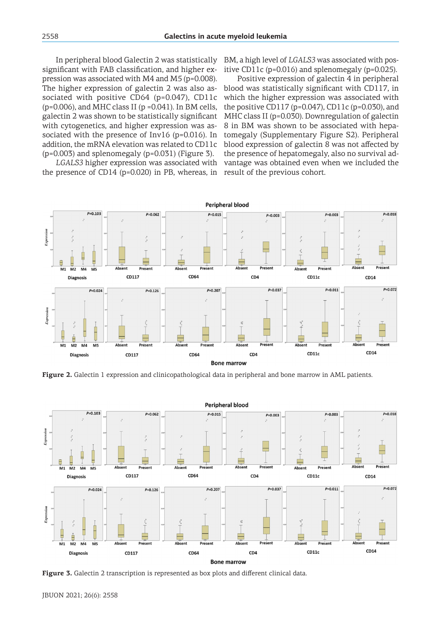In peripheral blood Galectin 2 was statistically significant with FAB classification, and higher expression was associated with M4 and M5 (p=0.008). The higher expression of galectin 2 was also associated with positive CD64 (p=0.047), CD11c  $(p=0.006)$ , and MHC class II ( $p=0.041$ ). In BM cells, galectin 2 was shown to be statistically significant with cytogenetics, and higher expression was associated with the presence of Inv16 (p=0.016). In addition, the mRNA elevation was related to CD11c (p=0.003) and splenomegaly (p=0.031) (Figure 3).

*LGALS3* higher expression was associated with the presence of CD14 (p=0.020) in PB, whereas, in BM, a high level of *LGALS3* was associated with positive CD11c (p=0.016) and splenomegaly (p=0.025).

Positive expression of galectin 4 in peripheral blood was statistically significant with CD117, in which the higher expression was associated with the positive CD117 (p=0.047), CD11c (p=0.030), and MHC class II (p=0.030). Downregulation of galectin 8 in BM was shown to be associated with hepatomegaly (Supplementary Figure S2). Peripheral blood expression of galectin 8 was not affected by the presence of hepatomegaly, also no survival advantage was obtained even when we included the result of the previous cohort.



**Figure 2.** Galectin 1 expression and clinicopathological data in peripheral and bone marrow in AML patients.



**Figure 3.** Galectin 2 transcription is represented as box plots and different clinical data.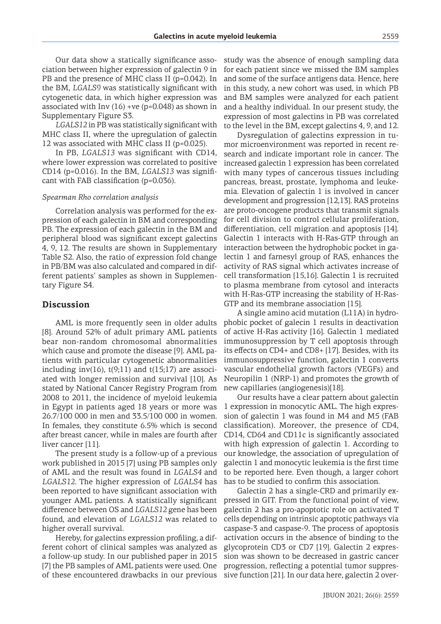Our data show a statically significance association between higher expression of galectin 9 in PB and the presence of MHC class II (p=0.042). In the BM, *LGALS9* was statistically significant with cytogenetic data, in which higher expression was associated with Inv  $(16)$  +ve (p=0.048) as shown in Supplementary Figure S3.

*LGALS12* in PB was statistically significant with MHC class II, where the upregulation of galectin 12 was associated with MHC class II (p=0.025).

In PB, *LGALS13* was significant with CD14, where lower expression was correlated to positive CD14 (p=0.016). In the BM, *LGALS13* was significant with FAB classification (p=0.036).

#### *Spearman Rho correlation analysis*

Correlation analysis was performed for the expression of each galectin in BM and corresponding PB. The expression of each galectin in the BM and peripheral blood was significant except galectins 4, 9, 12. The results are shown in Supplementary Table S2. Also, the ratio of expression fold change in PB/BM was also calculated and compared in different patients' samples as shown in Supplementary Figure S4.

### **Discussion**

AML is more frequently seen in older adults [8]. Around 52% of adult primary AML patients bear non-random chromosomal abnormalities which cause and promote the disease [9]. AML patients with particular cytogenetic abnormalities including inv(16),  $t(9;11)$  and  $t(15;17)$  are associated with longer remission and survival [10]. As stated by National Cancer Registry Program from 2008 to 2011, the incidence of myeloid leukemia in Egypt in patients aged 18 years or more was 26.7/100 000 in men and 33.5/100 000 in women. In females, they constitute 6.5% which is second after breast cancer, while in males are fourth after liver cancer [11].

The present study is a follow-up of a previous work published in 2015 [7] using PB samples only of AML and the result was found in *LGALS4* and *LGALS12*. The higher expression of *LGALS4* has been reported to have significant association with younger AML patients. A statistically significant difference between OS and *LGALS12* gene has been found, and elevation of *LGALS12* was related to higher overall survival.

Hereby, for galectins expression profiling, a different cohort of clinical samples was analyzed as a follow-up study. In our published paper in 2015 [7] the PB samples of AML patients were used. One of these encountered drawbacks in our previous

study was the absence of enough sampling data for each patient since we missed the BM samples and some of the surface antigens data. Hence, here in this study, a new cohort was used, in which PB and BM samples were analyzed for each patient and a healthy individual. In our present study, the expression of most galectins in PB was correlated to the level in the BM, except galectins 4, 9, and 12.

Dysregulation of galectins expression in tumor microenvironment was reported in recent research and indicate important role in cancer. The increased galectin 1 expression has been correlated with many types of cancerous tissues including pancreas, breast, prostate, lymphoma and leukemia. Elevation of galectin 1 is involved in cancer development and progression [12,13]. RAS proteins are proto-oncogene products that transmit signals for cell division to control cellular proliferation, differentiation, cell migration and apoptosis [14]. Galectin 1 interacts with H-Ras-GTP through an interaction between the hydrophobic pocket in galectin 1 and farnesyl group of RAS, enhances the activity of RAS signal which activates increase of cell transformation [15,16]. Galectin 1 is recruited to plasma membrane from cytosol and interacts with H-Ras-GTP increasing the stability of H-Ras-GTP and its membrane association [15].

A single amino acid mutation (L11A) in hydrophobic pocket of galecin 1 results in deactivation of active H-Ras activity [16]. Galectin 1 mediated immunosuppression by T cell apoptosis through its effects on CD4+ and CD8+ [17]. Besides, with its immunosuppressive function, galectin 1 converts vascular endothelial growth factors (VEGFs) and Neuropilin 1 (NRP-1) and promotes the growth of new capillaries (angiogenesis)[18].

Our results have a clear pattern about galectin 1 expression in monocytic AML. The high expression of galectin 1 was found in M4 and M5 (FAB classification). Moreover, the presence of CD4, CD14, CD64 and CD11c is significantly associated with high expression of galectin 1. According to our knowledge, the association of upregulation of galectin 1 and monocytic leukemia is the first time to be reported here. Even though, a larger cohort has to be studied to confirm this association.

Galectin 2 has a single-CRD and primarily expressed in GIT. From the functional point of view, galectin 2 has a pro-apoptotic role on activated T cells depending on intrinsic apoptotic pathways via caspase-3 and caspase-9. The process of apoptosis activation occurs in the absence of binding to the glycoprotein CD3 or CD7 [19]. Galectin 2 expression was shown to be decreased in gastric cancer progression, reflecting a potential tumor suppressive function [21]. In our data here, galectin 2 over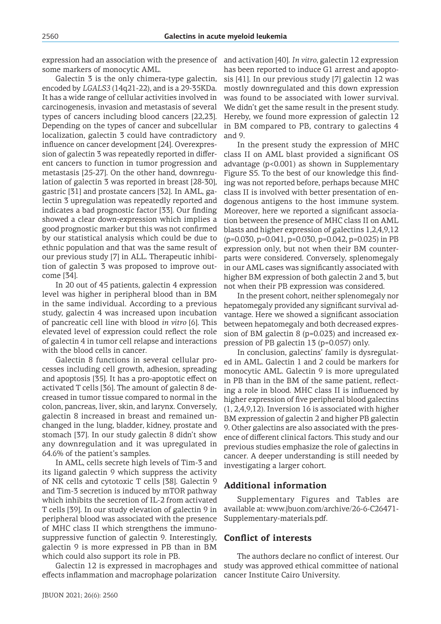expression had an association with the presence of some markers of monocytic AML.

Galectin 3 is the only chimera-type galectin, encoded by *LGALS3* (14q21-22), and is a 29-35KDa. It has a wide range of cellular activities involved in carcinogenesis, invasion and metastasis of several types of cancers including blood cancers [22,23]. Depending on the types of cancer and subcellular localization, galectin 3 could have contradictory influence on cancer development [24]. Overexpression of galectin 3 was repeatedly reported in different cancers to function in tumor progression and metastasis [25-27]. On the other hand, downregulation of galectin 3 was reported in breast [28-30], gastric [31] and prostate cancers [32]. In AML, galectin 3 upregulation was repeatedly reported and indicates a bad prognostic factor [33]. Our finding showed a clear down-expression which implies a good prognostic marker but this was not confirmed by our statistical analysis which could be due to ethnic population and that was the same result of our previous study [7] in ALL. Therapeutic inhibition of galectin 3 was proposed to improve outcome [34].

In 20 out of 45 patients, galectin 4 expression level was higher in peripheral blood than in BM in the same individual. According to a previous study, galectin 4 was increased upon incubation of pancreatic cell line with blood *in vitro* [6]. This elevated level of expression could reflect the role of galectin 4 in tumor cell relapse and interactions with the blood cells in cancer.

Galectin 8 functions in several cellular processes including cell growth, adhesion, spreading and apoptosis [35]. It has a pro-apoptotic effect on activated T cells [36]. The amount of galectin 8 decreased in tumor tissue compared to normal in the colon, pancreas, liver, skin, and larynx. Conversely, galectin 8 increased in breast and remained unchanged in the lung, bladder, kidney, prostate and stomach [37]. In our study galectin 8 didn't show any downregulation and it was upregulated in 64.6% of the patient's samples.

In AML, cells secrete high levels of Tim-3 and its ligand galectin 9 which suppress the activity of NK cells and cytotoxic T cells [38]. Galectin 9 and Tim-3 secretion is induced by mTOR pathway which inhibits the secretion of IL-2 from activated T cells [39]. In our study elevation of galectin 9 in peripheral blood was associated with the presence of MHC class II which strengthens the immunosuppressive function of galectin 9. Interestingly, galectin 9 is more expressed in PB than in BM which could also support its role in PB.

Galectin 12 is expressed in macrophages and effects inflammation and macrophage polarization and activation [40]. *In vitro*, galectin 12 expression has been reported to induce G1 arrest and apoptosis [41]. In our previous study [7] galectin 12 was mostly downregulated and this down expression was found to be associated with lower survival. We didn't get the same result in the present study. Hereby, we found more expression of galectin 12 in BM compared to PB, contrary to galectins 4 and 9.

In the present study the expression of MHC class II on AML blast provided a significant OS advantage (p<0.001) as shown in Supplementary Figure S5. To the best of our knowledge this finding was not reported before, perhaps because MHC class II is involved with better presentation of endogenous antigens to the host immune system. Moreover, here we reported a significant association between the presence of MHC class II on AML blasts and higher expression of galectins 1,2,4,9,12 (p=0.030, p=0.041, p=0.030, p=0.042, p=0.025) in PB expression only, but not when their BM counterparts were considered. Conversely, splenomegaly in our AML cases was significantly associated with higher BM expression of both galectin 2 and 3, but not when their PB expression was considered.

In the present cohort, neither splenomegaly nor hepatomegaly provided any significant survival advantage. Here we showed a significant association between hepatomegaly and both decreased expression of BM galectin 8 (p=0.023) and increased expression of PB galectin 13 (p=0.057) only.

In conclusion, galectins' family is dysregulated in AML. Galectin 1 and 2 could be markers for monocytic AML. Galectin 9 is more upregulated in PB than in the BM of the same patient, reflecting a role in blood. MHC class II is influenced by higher expression of five peripheral blood galectins (1, 2,4,9,12). Inversion 16 is associated with higher BM expression of galectin 2 and higher PB galectin 9. Other galectins are also associated with the presence of different clinical factors. This study and our previous studies emphasize the role of galectins in cancer. A deeper understanding is still needed by investigating a larger cohort.

### **Additional information**

Supplementary Figures and Tables are available at: www.jbuon.com/archive/26-6-C26471- Supplementary-materials.pdf.

## **Conflict of interests**

The authors declare no conflict of interest. Our study was approved ethical committee of national cancer Institute Cairo University.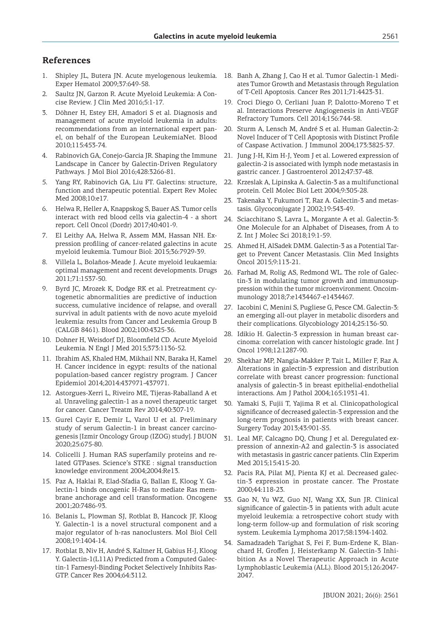## **References**

- 1. Shipley JL, Butera JN. Acute myelogenous leukemia. Exper Hematol 2009;37:649-58.
- 2. Saultz JN, Garzon R. Acute Myeloid Leukemia: A Concise Review. J Clin Med 2016;5:1-17.
- 3. Döhner H, Estey EH, Amadori S et al. Diagnosis and management of acute myeloid leukemia in adults: recommendations from an international expert panel, on behalf of the European LeukemiaNet. Blood 2010;115:453-74.
- 4. Rabinovich GA, Conejo-Garcia JR. Shaping the Immune Landscape in Cancer by Galectin-Driven Regulatory Pathways. J Mol Biol 2016;428:3266-81.
- 5. Yang RY, Rabinovich GA, Liu FT. Galectins: structure, function and therapeutic potential. Expert Rev Molec Med 2008;10:e17.
- 6. Helwa R, Heller A, Knappskog S, Bauer AS. Tumor cells interact with red blood cells via galectin-4 - a short report. Cell Oncol (Dordr) 2017;40:401-9.
- 7. El Leithy AA, Helwa R, Assem MM, Hassan NH. Expression profiling of cancer-related galectins in acute myeloid leukemia. Tumour Biol: 2015;36:7929-39.
- 8. Villela L, Bolaños-Meade J. Acute myeloid leukaemia: optimal management and recent developments. Drugs 2011;71:1537-50.
- 9. Byrd JC, Mrozek K, Dodge RK et al. Pretreatment cytogenetic abnormalities are predictive of induction success, cumulative incidence of relapse, and overall survival in adult patients with de novo acute myeloid leukemia: results from Cancer and Leukemia Group B (CALGB 8461). Blood 2002;100:4325-36.
- 10. Dohner H, Weisdorf DJ, Bloomfield CD. Acute Myeloid Leukemia. N Engl J Med 2015;373:1136-52.
- 11. Ibrahim AS, Khaled HM, Mikhail NN, Baraka H, Kamel H. Cancer incidence in egypt: results of the national population-based cancer registry program. J Cancer Epidemiol 2014;2014:437971-437971.
- 12. Astorgues-Xerri L, Riveiro ME, Tijeras-Raballand A et al. Unraveling galectin-1 as a novel therapeutic target for cancer. Cancer Treatm Rev 2014;40:307-19.
- 13. Gurel Cayir E, Demir L, Varol U et al. Preliminary study of serum Galectin-1 in breast cancer carcinogenesis [Izmir Oncology Group (IZOG) study]. J BUON 2020;25:675-80.
- 14. Colicelli J. Human RAS superfamily proteins and related GTPases. Science's STKE : signal transduction knowledge environment 2004;2004:Re13.
- 15. Paz A, Haklai R, Elad-Sfadia G, Ballan E, Kloog Y. Galectin-1 binds oncogenic H-Ras to mediate Ras membrane anchorage and cell transformation. Oncogene 2001;20:7486-93.
- 16. Belanis L, Plowman SJ, Rotblat B, Hancock JF, Kloog Y. Galectin-1 is a novel structural component and a major regulator of h-ras nanoclusters. Mol Biol Cell 2008;19:1404-14.
- 17. Rotblat B, Niv H, André S, Kaltner H, Gabius H-J, Kloog Y. Galectin-1(L11A) Predicted from a Computed Galectin-1 Farnesyl-Binding Pocket Selectively Inhibits Ras-GTP. Cancer Res 2004;64:3112.
- 18. Banh A, Zhang J, Cao H et al. Tumor Galectin-1 Mediates Tumor Growth and Metastasis through Regulation of T-Cell Apoptosis. Cancer Res 2011;71:4423-31.
- 19. Croci Diego O, Cerliani Juan P, Dalotto-Moreno T et al. Interactions Preserve Angiogenesis in Anti-VEGF Refractory Tumors. Cell 2014;156:744-58.
- 20. Sturm A, Lensch M, André S et al. Human Galectin-2: Novel Inducer of T Cell Apoptosis with Distinct Profile of Caspase Activation. J Immunol 2004;173:3825-37.
- 21. Jung J-H, Kim H-J, Yeom J et al. Lowered expression of galectin-2 is associated with lymph node metastasis in gastric cancer. J Gastroenterol 2012;47:37-48.
- 22. Krzeslak A, Lipinska A. Galectin-3 as a multifunctional protein. Cell Molec Biol Lett 2004;9:305-28.
- 23. Takenaka Y, Fukumori T, Raz A. Galectin-3 and metastasis. Glycoconjugate J 2002;19:543-49.
- 24. Sciacchitano S, Lavra L, Morgante A et al. Galectin-3: One Molecule for an Alphabet of Diseases, from A to Z. Int J Molec Sci 2018;19:1-59.
- 25. Ahmed H, AlSadek DMM. Galectin-3 as a Potential Target to Prevent Cancer Metastasis. Clin Med Insights Oncol 2015;9:113-21.
- 26. Farhad M, Rolig AS, Redmond WL. The role of Galectin-3 in modulating tumor growth and immunosuppression within the tumor microenvironment. Oncoimmunology 2018;7:e1434467-e1434467.
- 27. Iacobini C, Menini S, Pugliese G, Pesce CM. Galectin-3: an emerging all-out player in metabolic disorders and their complications. Glycobiology 2014;25:136-50.
- 28. Idikio H. Galectin-3 expression in human breast carcinoma: correlation with cancer histologic grade. Int J Oncol 1998;12:1287-90.
- 29. Shekhar MP, Nangia-Makker P, Tait L, Miller F, Raz A. Alterations in galectin-3 expression and distribution correlate with breast cancer progression: functional analysis of galectin-3 in breast epithelial-endothelial interactions. Am J Pathol 2004;165:1931-41.
- 30. Yamaki S, Fujii T, Yajima R et al. Clinicopathological significance of decreased galectin-3 expression and the long-term prognosis in patients with breast cancer. Surgery Today 2013;43:901-S5.
- 31. Leal MF, Calcagno DQ, Chung J et al. Deregulated expression of annexin-A2 and galectin-3 is associated with metastasis in gastric cancer patients. Clin Experim Med 2015;15:415-20.
- 32. Pacis RA, Pilat MJ, Pienta KJ et al. Decreased galectin-3 expression in prostate cancer. The Prostate 2000;44:118-23.
- 33. Gao N, Yu WZ, Guo NJ, Wang XX, Sun JR. Clinical significance of galectin-3 in patients with adult acute myeloid leukemia: a retrospective cohort study with long-term follow-up and formulation of risk scoring system. Leukemia Lymphoma 2017;58:1394-1402.
- 34. Samadzadeh Tarighat S, Fei F, Bum-Erdene K, Blanchard H, Groffen J, Heisterkamp N. Galectin-3 Inhibition As a Novel Therapeutic Approach in Acute Lymphoblastic Leukemia (ALL). Blood 2015;126:2047- 2047.